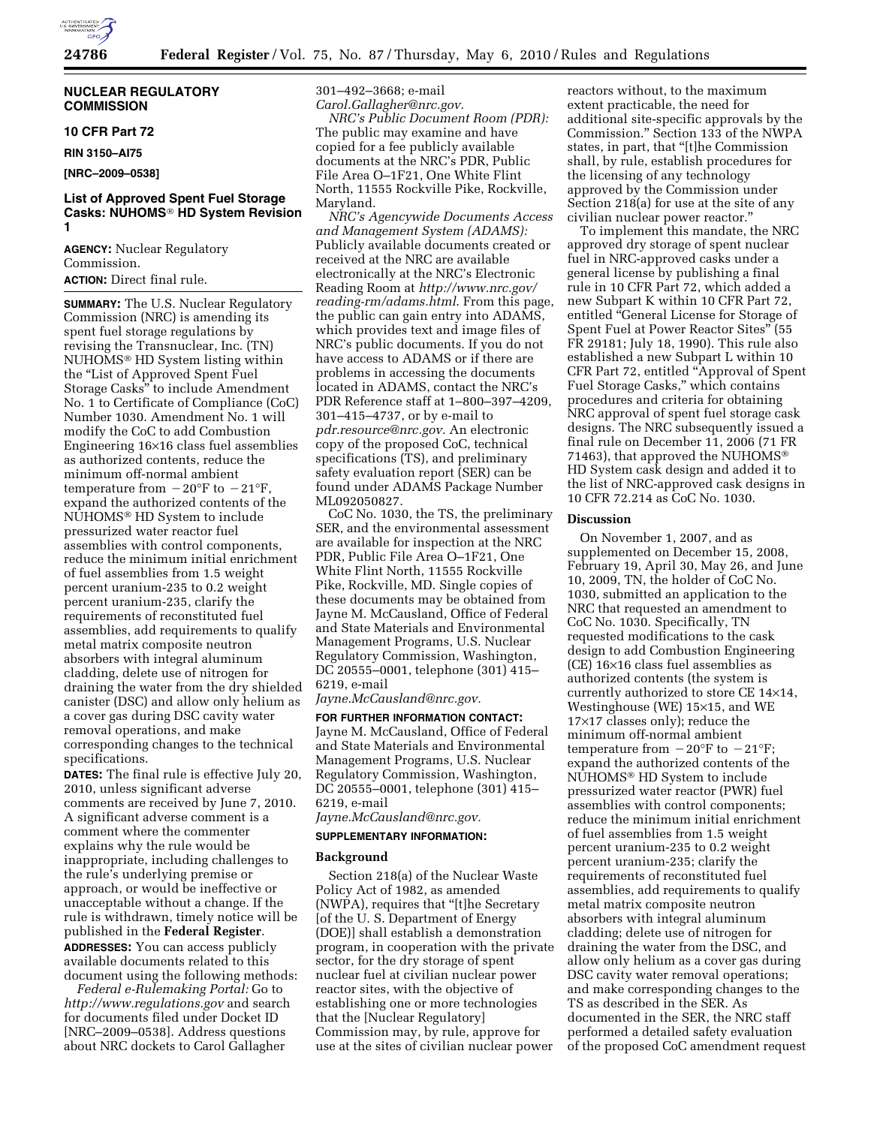

## **NUCLEAR REGULATORY COMMISSION**

### **10 CFR Part 72**

**RIN 3150–AI75** 

# **[NRC–2009–0538]**

## **List of Approved Spent Fuel Storage Casks: NUHOMS**® **HD System Revision 1**

**AGENCY:** Nuclear Regulatory Commission. **ACTION:** Direct final rule.

**SUMMARY:** The U.S. Nuclear Regulatory Commission (NRC) is amending its spent fuel storage regulations by revising the Transnuclear, Inc. (TN) NUHOMS® HD System listing within the ''List of Approved Spent Fuel Storage Casks'' to include Amendment No. 1 to Certificate of Compliance (CoC) Number 1030. Amendment No. 1 will modify the CoC to add Combustion Engineering 16×16 class fuel assemblies as authorized contents, reduce the minimum off-normal ambient temperature from  $-20^{\circ}$ F to  $-21^{\circ}$ F, expand the authorized contents of the NUHOMS® HD System to include pressurized water reactor fuel assemblies with control components, reduce the minimum initial enrichment of fuel assemblies from 1.5 weight percent uranium-235 to 0.2 weight percent uranium-235, clarify the requirements of reconstituted fuel assemblies, add requirements to qualify metal matrix composite neutron absorbers with integral aluminum cladding, delete use of nitrogen for draining the water from the dry shielded canister (DSC) and allow only helium as a cover gas during DSC cavity water removal operations, and make corresponding changes to the technical specifications.

**DATES:** The final rule is effective July 20, 2010, unless significant adverse comments are received by June 7, 2010. A significant adverse comment is a comment where the commenter explains why the rule would be inappropriate, including challenges to the rule's underlying premise or approach, or would be ineffective or unacceptable without a change. If the rule is withdrawn, timely notice will be published in the **Federal Register**.

**ADDRESSES:** You can access publicly available documents related to this document using the following methods:

*Federal e-Rulemaking Portal:* Go to *http://www.regulations.gov* and search for documents filed under Docket ID [NRC–2009–0538]. Address questions about NRC dockets to Carol Gallagher

301–492–3668; e-mail *Carol.Gallagher@nrc.gov.* 

*NRC's Public Document Room (PDR):*  The public may examine and have copied for a fee publicly available documents at the NRC's PDR, Public File Area O–1F21, One White Flint North, 11555 Rockville Pike, Rockville, Maryland.

*NRC's Agencywide Documents Access and Management System (ADAMS):*  Publicly available documents created or received at the NRC are available electronically at the NRC's Electronic Reading Room at *http://www.nrc.gov/ reading-rm/adams.html*. From this page, the public can gain entry into ADAMS, which provides text and image files of NRC's public documents. If you do not have access to ADAMS or if there are problems in accessing the documents located in ADAMS, contact the NRC's PDR Reference staff at 1–800–397–4209, 301–415–4737, or by e-mail to *pdr.resource@nrc.gov.* An electronic copy of the proposed CoC, technical specifications (TS), and preliminary safety evaluation report (SER) can be found under ADAMS Package Number ML092050827.

CoC No. 1030, the TS, the preliminary SER, and the environmental assessment are available for inspection at the NRC PDR, Public File Area O–1F21, One White Flint North, 11555 Rockville Pike, Rockville, MD. Single copies of these documents may be obtained from Jayne M. McCausland, Office of Federal and State Materials and Environmental Management Programs, U.S. Nuclear Regulatory Commission, Washington, DC 20555–0001, telephone (301) 415– 6219, e-mail

*Jayne.McCausland@nrc.gov.* 

**FOR FURTHER INFORMATION CONTACT:**  Jayne M. McCausland, Office of Federal and State Materials and Environmental Management Programs, U.S. Nuclear Regulatory Commission, Washington, DC 20555–0001, telephone (301) 415– 6219, e-mail

*Jayne.McCausland@nrc.gov.* 

## **SUPPLEMENTARY INFORMATION:**

#### **Background**

Section 218(a) of the Nuclear Waste Policy Act of 1982, as amended (NWPA), requires that ''[t]he Secretary [of the U. S. Department of Energy (DOE)] shall establish a demonstration program, in cooperation with the private sector, for the dry storage of spent nuclear fuel at civilian nuclear power reactor sites, with the objective of establishing one or more technologies that the [Nuclear Regulatory] Commission may, by rule, approve for use at the sites of civilian nuclear power

reactors without, to the maximum extent practicable, the need for additional site-specific approvals by the Commission.'' Section 133 of the NWPA states, in part, that "[t]he Commission shall, by rule, establish procedures for the licensing of any technology approved by the Commission under Section 218(a) for use at the site of any civilian nuclear power reactor.''

To implement this mandate, the NRC approved dry storage of spent nuclear fuel in NRC-approved casks under a general license by publishing a final rule in 10 CFR Part 72, which added a new Subpart K within 10 CFR Part 72, entitled ''General License for Storage of Spent Fuel at Power Reactor Sites'' (55 FR 29181; July 18, 1990). This rule also established a new Subpart L within 10 CFR Part 72, entitled ''Approval of Spent Fuel Storage Casks,'' which contains procedures and criteria for obtaining NRC approval of spent fuel storage cask designs. The NRC subsequently issued a final rule on December 11, 2006 (71 FR 71463), that approved the NUHOMS® HD System cask design and added it to the list of NRC-approved cask designs in 10 CFR 72.214 as CoC No. 1030.

#### **Discussion**

On November 1, 2007, and as supplemented on December 15, 2008, February 19, April 30, May 26, and June 10, 2009, TN, the holder of CoC No. 1030, submitted an application to the NRC that requested an amendment to CoC No. 1030. Specifically, TN requested modifications to the cask design to add Combustion Engineering (CE) 16×16 class fuel assemblies as authorized contents (the system is currently authorized to store CE 14×14, Westinghouse (WE) 15×15, and WE 17×17 classes only); reduce the minimum off-normal ambient temperature from  $-20^{\circ}$ F to  $-21^{\circ}$ F; expand the authorized contents of the NUHOMS® HD System to include pressurized water reactor (PWR) fuel assemblies with control components; reduce the minimum initial enrichment of fuel assemblies from 1.5 weight percent uranium-235 to 0.2 weight percent uranium-235; clarify the requirements of reconstituted fuel assemblies, add requirements to qualify metal matrix composite neutron absorbers with integral aluminum cladding; delete use of nitrogen for draining the water from the DSC, and allow only helium as a cover gas during DSC cavity water removal operations; and make corresponding changes to the TS as described in the SER. As documented in the SER, the NRC staff performed a detailed safety evaluation of the proposed CoC amendment request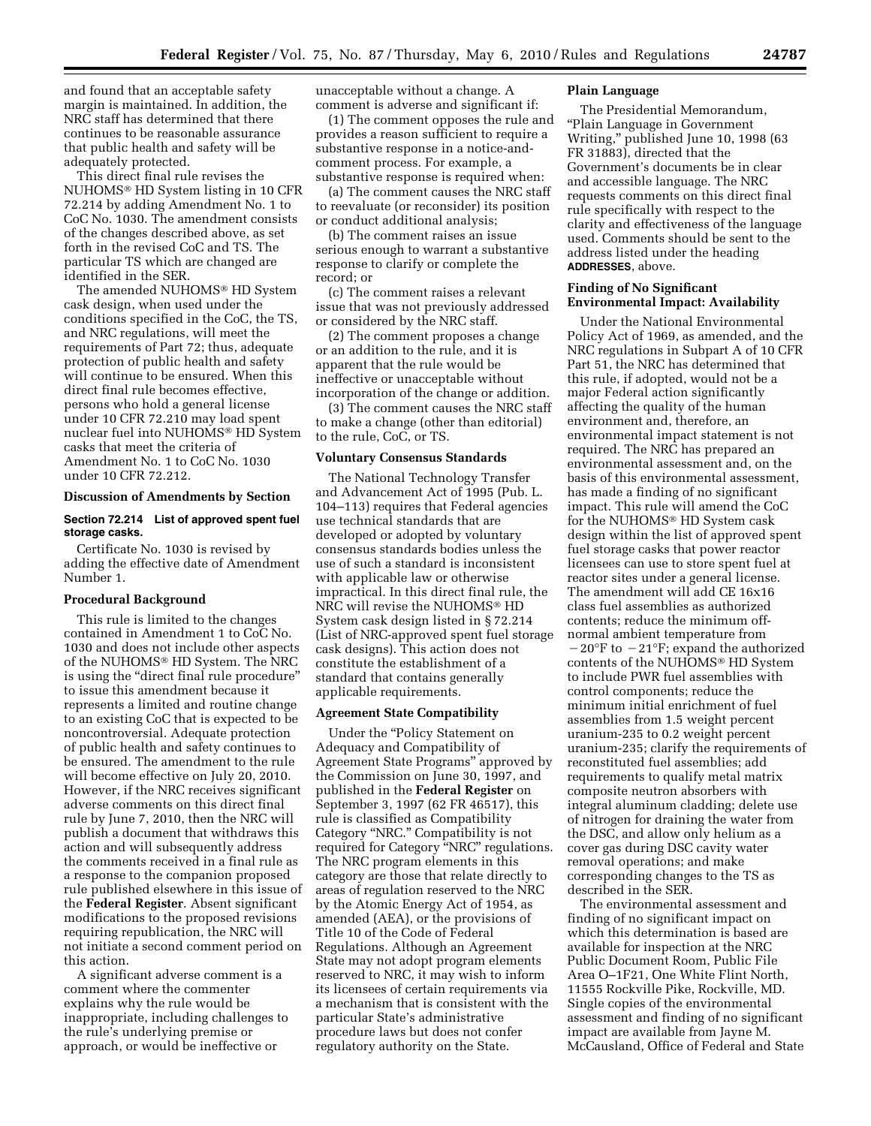and found that an acceptable safety margin is maintained. In addition, the NRC staff has determined that there continues to be reasonable assurance that public health and safety will be adequately protected.

This direct final rule revises the NUHOMS® HD System listing in 10 CFR 72.214 by adding Amendment No. 1 to CoC No. 1030. The amendment consists of the changes described above, as set forth in the revised CoC and TS. The particular TS which are changed are identified in the SER.

The amended NUHOMS® HD System cask design, when used under the conditions specified in the CoC, the TS, and NRC regulations, will meet the requirements of Part 72; thus, adequate protection of public health and safety will continue to be ensured. When this direct final rule becomes effective, persons who hold a general license under 10 CFR 72.210 may load spent nuclear fuel into NUHOMS® HD System casks that meet the criteria of Amendment No. 1 to CoC No. 1030 under 10 CFR 72.212.

#### **Discussion of Amendments by Section**

#### **Section 72.214 List of approved spent fuel storage casks.**

Certificate No. 1030 is revised by adding the effective date of Amendment Number 1.

#### **Procedural Background**

This rule is limited to the changes contained in Amendment 1 to CoC No. 1030 and does not include other aspects of the NUHOMS® HD System. The NRC is using the "direct final rule procedure" to issue this amendment because it represents a limited and routine change to an existing CoC that is expected to be noncontroversial. Adequate protection of public health and safety continues to be ensured. The amendment to the rule will become effective on July 20, 2010. However, if the NRC receives significant adverse comments on this direct final rule by June 7, 2010, then the NRC will publish a document that withdraws this action and will subsequently address the comments received in a final rule as a response to the companion proposed rule published elsewhere in this issue of the **Federal Register**. Absent significant modifications to the proposed revisions requiring republication, the NRC will not initiate a second comment period on this action.

A significant adverse comment is a comment where the commenter explains why the rule would be inappropriate, including challenges to the rule's underlying premise or approach, or would be ineffective or

unacceptable without a change. A comment is adverse and significant if:

(1) The comment opposes the rule and provides a reason sufficient to require a substantive response in a notice-andcomment process. For example, a substantive response is required when:

(a) The comment causes the NRC staff to reevaluate (or reconsider) its position or conduct additional analysis;

(b) The comment raises an issue serious enough to warrant a substantive response to clarify or complete the record; or

(c) The comment raises a relevant issue that was not previously addressed or considered by the NRC staff.

(2) The comment proposes a change or an addition to the rule, and it is apparent that the rule would be ineffective or unacceptable without incorporation of the change or addition.

(3) The comment causes the NRC staff to make a change (other than editorial) to the rule, CoC, or TS.

#### **Voluntary Consensus Standards**

The National Technology Transfer and Advancement Act of 1995 (Pub. L. 104–113) requires that Federal agencies use technical standards that are developed or adopted by voluntary consensus standards bodies unless the use of such a standard is inconsistent with applicable law or otherwise impractical. In this direct final rule, the NRC will revise the NUHOMS® HD System cask design listed in § 72.214 (List of NRC-approved spent fuel storage cask designs). This action does not constitute the establishment of a standard that contains generally applicable requirements.

### **Agreement State Compatibility**

Under the ''Policy Statement on Adequacy and Compatibility of Agreement State Programs'' approved by the Commission on June 30, 1997, and published in the **Federal Register** on September 3, 1997 (62 FR 46517), this rule is classified as Compatibility Category ''NRC.'' Compatibility is not required for Category ''NRC'' regulations. The NRC program elements in this category are those that relate directly to areas of regulation reserved to the NRC by the Atomic Energy Act of 1954, as amended (AEA), or the provisions of Title 10 of the Code of Federal Regulations. Although an Agreement State may not adopt program elements reserved to NRC, it may wish to inform its licensees of certain requirements via a mechanism that is consistent with the particular State's administrative procedure laws but does not confer regulatory authority on the State.

## **Plain Language**

The Presidential Memorandum, ''Plain Language in Government Writing,'' published June 10, 1998 (63 FR 31883), directed that the Government's documents be in clear and accessible language. The NRC requests comments on this direct final rule specifically with respect to the clarity and effectiveness of the language used. Comments should be sent to the address listed under the heading **ADDRESSES**, above.

### **Finding of No Significant Environmental Impact: Availability**

Under the National Environmental Policy Act of 1969, as amended, and the NRC regulations in Subpart A of 10 CFR Part 51, the NRC has determined that this rule, if adopted, would not be a major Federal action significantly affecting the quality of the human environment and, therefore, an environmental impact statement is not required. The NRC has prepared an environmental assessment and, on the basis of this environmental assessment, has made a finding of no significant impact. This rule will amend the CoC for the NUHOMS® HD System cask design within the list of approved spent fuel storage casks that power reactor licensees can use to store spent fuel at reactor sites under a general license. The amendment will add CE 16x16 class fuel assemblies as authorized contents; reduce the minimum offnormal ambient temperature from  $-20$ °F to  $-21$ °F; expand the authorized contents of the NUHOMS® HD System to include PWR fuel assemblies with control components; reduce the minimum initial enrichment of fuel assemblies from 1.5 weight percent uranium-235 to 0.2 weight percent uranium-235; clarify the requirements of reconstituted fuel assemblies; add requirements to qualify metal matrix composite neutron absorbers with integral aluminum cladding; delete use of nitrogen for draining the water from the DSC, and allow only helium as a cover gas during DSC cavity water removal operations; and make corresponding changes to the TS as described in the SER.

The environmental assessment and finding of no significant impact on which this determination is based are available for inspection at the NRC Public Document Room, Public File Area O–1F21, One White Flint North, 11555 Rockville Pike, Rockville, MD. Single copies of the environmental assessment and finding of no significant impact are available from Jayne M. McCausland, Office of Federal and State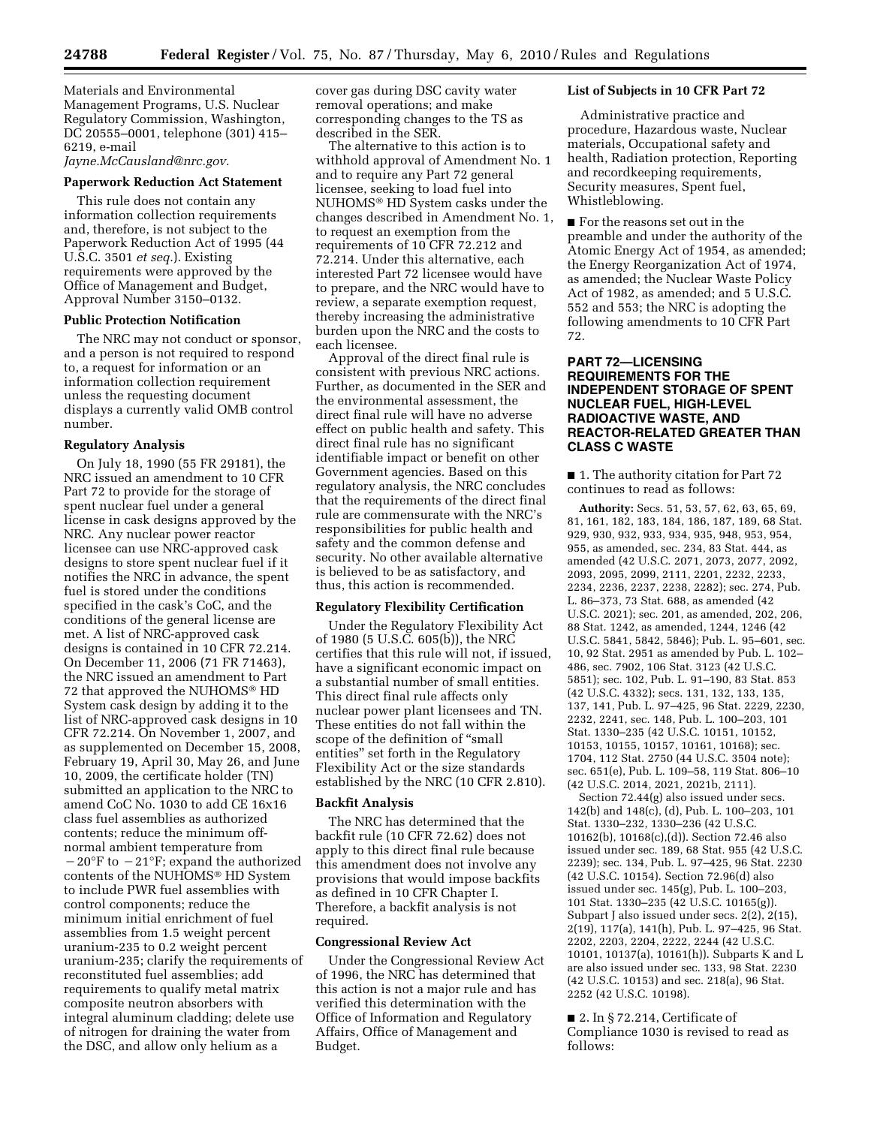Materials and Environmental Management Programs, U.S. Nuclear Regulatory Commission, Washington, DC 20555–0001, telephone (301) 415– 6219, e-mail *Jayne.McCausland@nrc.gov.* 

**Paperwork Reduction Act Statement** 

This rule does not contain any information collection requirements and, therefore, is not subject to the Paperwork Reduction Act of 1995 (44 U.S.C. 3501 *et seq.*). Existing requirements were approved by the Office of Management and Budget, Approval Number 3150–0132.

#### **Public Protection Notification**

The NRC may not conduct or sponsor, and a person is not required to respond to, a request for information or an information collection requirement unless the requesting document displays a currently valid OMB control number.

#### **Regulatory Analysis**

On July 18, 1990 (55 FR 29181), the NRC issued an amendment to 10 CFR Part 72 to provide for the storage of spent nuclear fuel under a general license in cask designs approved by the NRC. Any nuclear power reactor licensee can use NRC-approved cask designs to store spent nuclear fuel if it notifies the NRC in advance, the spent fuel is stored under the conditions specified in the cask's CoC, and the conditions of the general license are met. A list of NRC-approved cask designs is contained in 10 CFR 72.214. On December 11, 2006 (71 FR 71463), the NRC issued an amendment to Part 72 that approved the NUHOMS® HD System cask design by adding it to the list of NRC-approved cask designs in 10 CFR 72.214. On November 1, 2007, and as supplemented on December 15, 2008, February 19, April 30, May 26, and June 10, 2009, the certificate holder (TN) submitted an application to the NRC to amend CoC No. 1030 to add CE 16x16 class fuel assemblies as authorized contents; reduce the minimum offnormal ambient temperature from  $-20^{\circ}$ F to  $-21^{\circ}$ F; expand the authorized contents of the NUHOMS® HD System to include PWR fuel assemblies with control components; reduce the minimum initial enrichment of fuel assemblies from 1.5 weight percent uranium-235 to 0.2 weight percent uranium-235; clarify the requirements of reconstituted fuel assemblies; add requirements to qualify metal matrix composite neutron absorbers with integral aluminum cladding; delete use of nitrogen for draining the water from the DSC, and allow only helium as a

cover gas during DSC cavity water removal operations; and make corresponding changes to the TS as described in the SER.

The alternative to this action is to withhold approval of Amendment No. 1 and to require any Part 72 general licensee, seeking to load fuel into NUHOMS® HD System casks under the changes described in Amendment No. 1, to request an exemption from the requirements of 10 CFR 72.212 and 72.214. Under this alternative, each interested Part 72 licensee would have to prepare, and the NRC would have to review, a separate exemption request, thereby increasing the administrative burden upon the NRC and the costs to each licensee.

Approval of the direct final rule is consistent with previous NRC actions. Further, as documented in the SER and the environmental assessment, the direct final rule will have no adverse effect on public health and safety. This direct final rule has no significant identifiable impact or benefit on other Government agencies. Based on this regulatory analysis, the NRC concludes that the requirements of the direct final rule are commensurate with the NRC's responsibilities for public health and safety and the common defense and security. No other available alternative is believed to be as satisfactory, and thus, this action is recommended.

### **Regulatory Flexibility Certification**

Under the Regulatory Flexibility Act of 1980 (5 U.S.C. 605(b)), the NRC certifies that this rule will not, if issued, have a significant economic impact on a substantial number of small entities. This direct final rule affects only nuclear power plant licensees and TN. These entities do not fall within the scope of the definition of ''small entities'' set forth in the Regulatory Flexibility Act or the size standards established by the NRC (10 CFR 2.810).

### **Backfit Analysis**

The NRC has determined that the backfit rule (10 CFR 72.62) does not apply to this direct final rule because this amendment does not involve any provisions that would impose backfits as defined in 10 CFR Chapter I. Therefore, a backfit analysis is not required.

### **Congressional Review Act**

Under the Congressional Review Act of 1996, the NRC has determined that this action is not a major rule and has verified this determination with the Office of Information and Regulatory Affairs, Office of Management and Budget.

#### **List of Subjects in 10 CFR Part 72**

Administrative practice and procedure, Hazardous waste, Nuclear materials, Occupational safety and health, Radiation protection, Reporting and recordkeeping requirements, Security measures, Spent fuel, Whistleblowing.

■ For the reasons set out in the preamble and under the authority of the Atomic Energy Act of 1954, as amended; the Energy Reorganization Act of 1974, as amended; the Nuclear Waste Policy Act of 1982, as amended; and 5 U.S.C. 552 and 553; the NRC is adopting the following amendments to 10 CFR Part 72.

## **PART 72—LICENSING REQUIREMENTS FOR THE INDEPENDENT STORAGE OF SPENT NUCLEAR FUEL, HIGH-LEVEL RADIOACTIVE WASTE, AND REACTOR-RELATED GREATER THAN CLASS C WASTE**

■ 1. The authority citation for Part 72 continues to read as follows:

**Authority:** Secs. 51, 53, 57, 62, 63, 65, 69, 81, 161, 182, 183, 184, 186, 187, 189, 68 Stat. 929, 930, 932, 933, 934, 935, 948, 953, 954, 955, as amended, sec. 234, 83 Stat. 444, as amended (42 U.S.C. 2071, 2073, 2077, 2092, 2093, 2095, 2099, 2111, 2201, 2232, 2233, 2234, 2236, 2237, 2238, 2282); sec. 274, Pub. L. 86–373, 73 Stat. 688, as amended (42 U.S.C. 2021); sec. 201, as amended, 202, 206, 88 Stat. 1242, as amended, 1244, 1246 (42 U.S.C. 5841, 5842, 5846); Pub. L. 95–601, sec. 10, 92 Stat. 2951 as amended by Pub. L. 102– 486, sec. 7902, 106 Stat. 3123 (42 U.S.C. 5851); sec. 102, Pub. L. 91–190, 83 Stat. 853 (42 U.S.C. 4332); secs. 131, 132, 133, 135, 137, 141, Pub. L. 97–425, 96 Stat. 2229, 2230, 2232, 2241, sec. 148, Pub. L. 100–203, 101 Stat. 1330–235 (42 U.S.C. 10151, 10152, 10153, 10155, 10157, 10161, 10168); sec. 1704, 112 Stat. 2750 (44 U.S.C. 3504 note); sec. 651(e), Pub. L. 109–58, 119 Stat. 806–10 (42 U.S.C. 2014, 2021, 2021b, 2111).

Section 72.44(g) also issued under secs. 142(b) and 148(c), (d), Pub. L. 100–203, 101 Stat. 1330–232, 1330–236 (42 U.S.C. 10162(b), 10168(c),(d)). Section 72.46 also issued under sec. 189, 68 Stat. 955 (42 U.S.C. 2239); sec. 134, Pub. L. 97–425, 96 Stat. 2230 (42 U.S.C. 10154). Section 72.96(d) also issued under sec. 145(g), Pub. L. 100–203, 101 Stat. 1330–235 (42 U.S.C. 10165(g)). Subpart J also issued under secs. 2(2), 2(15), 2(19), 117(a), 141(h), Pub. L. 97–425, 96 Stat. 2202, 2203, 2204, 2222, 2244 (42 U.S.C. 10101, 10137(a), 10161(h)). Subparts K and L are also issued under sec. 133, 98 Stat. 2230 (42 U.S.C. 10153) and sec. 218(a), 96 Stat. 2252 (42 U.S.C. 10198).

■ 2. In § 72.214, Certificate of Compliance 1030 is revised to read as follows: